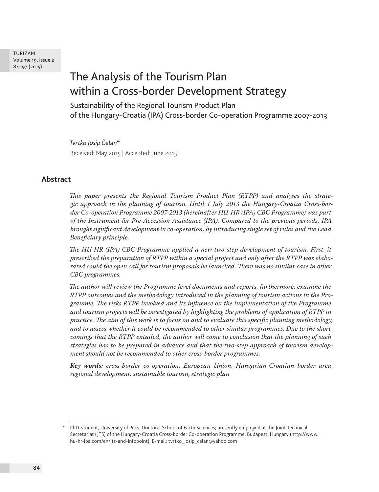# The Analysis of the Tourism Plan within a Cross-border Development Strategy

Sustainability of the Regional Tourism Product Plan of the Hungary-Croatia (IPA) Cross-border Co-operation Programme 2007-2013

#### *Tvrtko Josip Čelan\**

Received: May 2015 | Accepted: June 2015

## **Abstract**

*This paper presents the Regional Tourism Product Plan (RTPP) and analyses the strategic approach in the planning of tourism. Until 1 July 2013 the Hungary-Croatia Cross-border Co-operation Programme 2007-2013 (hereinafter HU-HR (IPA) CBC Programme) was part of the Instrument for Pre-Accession Assistance (IPA). Compared to the previous periods, IPA brought significant development in co-operation, by introducing single set of rules and the Lead Beneficiary principle.* 

*The HU-HR (IPA) CBC Programme applied a new two-step development of tourism. First, it prescribed the preparation of RTPP within a special project and only after the RTPP was elaborated could the open call for tourism proposals be launched. There was no similar case in other CBC programmes.* 

*The author will review the Programme level documents and reports, furthermore, examine the RTPP outcomes and the methodology introduced in the planning of tourism actions in the Programme. The risks RTPP involved and its influence on the implementation of the Programme and tourism projects will be investigated by highlighting the problems of application of RTPP in practice. The aim of this work is to focus on and to evaluate this specific planning methodology, and to assess whether it could be recommended to other similar programmes. Due to the shortcomings that the RTPP entailed, the author will come to conclusion that the planning of such strategies has to be prepared in advance and that the two-step approach of tourism development should not be recommended to other cross-border programmes.* 

*Key words: cross-border co-operation, European Union, Hungarian-Croatian border area, regional development, sustainable tourism, strategic plan* 

<sup>\*</sup> PhD-student, University of Pécs, Doctoral School of Earth Sciences; presently employed at the Joint Technical Secretariat (JTS) of the Hungary-Croatia Cross-border Co-operation Programme, Budapest, Hungary (http://www. hu-hr-ipa.com/en/jts-and-infopoint), E-mail: tvrtko\_josip\_celan@yahoo.com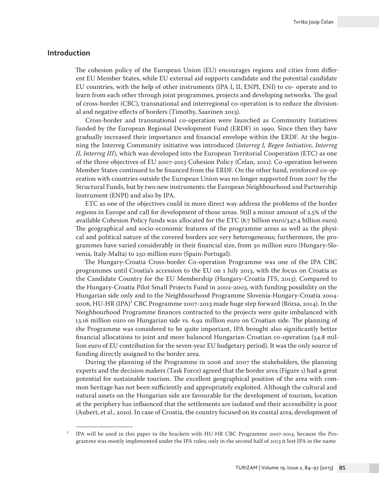## **Introduction**

The cohesion policy of the European Union (EU) encourages regions and cities from different EU Member States, while EU external aid supports candidate and the potential candidate EU countries, with the help of other instruments (IPA I, II, ENPI, ENI) to co- operate and to learn from each other through joint programmes, projects and developing networks. The goal of cross-border (CBC), transnational and interregional co-operation is to reduce the divisional and negative effects of borders (Timothy, Saarinen 2013).

Cross-border and transnational co-operation were launched as Community Initiatives funded by the European Regional Development Fund (ERDF) in 1990. Since then they have gradually increased their importance and financial envelope within the ERDF. At the beginning the Interreg Community initiative was introduced (*Interreg I, Regen Initiative, Interreg II, Interreg III*), which was developed into the European Territorial Cooperation (ETC) as one of the three objectives of EU 2007-2013 Cohesion Policy (Čelan, 2011). Co-operation between Member States continued to be financed from the ERDF. On the other hand, reinforced co-operation with countries outside the European Union was no longer supported from 2007 by the Structural Funds, but by two new instruments: the European Neighbourhood and Partnership Instrument (ENPI) and also by IPA.

ETC as one of the objectives could in more direct way address the problems of the border regions in Europe and call for development of those areas. Still a minor amount of 2.5% of the available Cohesion Policy funds was allocated for the ETC  $(8.7 \text{ billion euro})/347.4$  billion euro). The geographical and socio-economic features of the programme areas as well as the physical and political nature of the covered borders are very heterogeneous; furthermore, the programmes have varied considerably in their financial size, from 30 million euro (Hungary-Slovenia, Italy-Malta) to 250 million euro (Spain-Portugal).

The Hungary-Croatia Cross-border Co-operation Programme was one of the IPA CBC programmes until Croatia's accession to the EU on 1 July 2013, with the focus on Croatia as the Candidate Country for the EU Membership (Hungary-Croatia JTS, 2013). Compared to the Hungary-Croatia Pilot Small Projects Fund in 2002-2003, with funding possibility on the Hungarian side only and to the Neighbourhood Programme Slovenia-Hungary-Croatia 2004- 2006, HU-HR  $(IPA)^{1}$  CBC Programme 2007-2013 made huge step forward (Rózsa, 2014). In the Neighbourhood Programme finances contracted to the projects were quite imbalanced with 13.16 million euro on Hungarian side vs. 6.92 million euro on Croatian side. The planning of the Programme was considered to be quite important, IPA brought also significantly better financial allocations to joint and more balanced Hungarian-Croatian co-operation (54.8 million euro of EU contribution for the seven-year EU budgetary period). It was the only source of funding directly assigned to the border area.

During the planning of the Programme in 2006 and 2007 the stakeholders, the planning experts and the decision makers (Task Force) agreed that the border area (Figure 1) had a great potential for sustainable tourism. The excellent geographical position of the area with common heritage has not been sufficiently and appropriately exploited. Although the cultural and natural assets on the Hungarian side are favourable for the development of tourism, location at the periphery has influenced that the settlements are isolated and their accessibility is poor (Aubert, et al., 2010). In case of Croatia, the country focused on its coastal area, development of

<sup>1</sup> IPA will be used in this paper in the brackets with HU-HR CBC Programme 2007-2013, because the Programme was mostly implemented under the IPA rules; only in the second half of 2013 it lost IPA in the name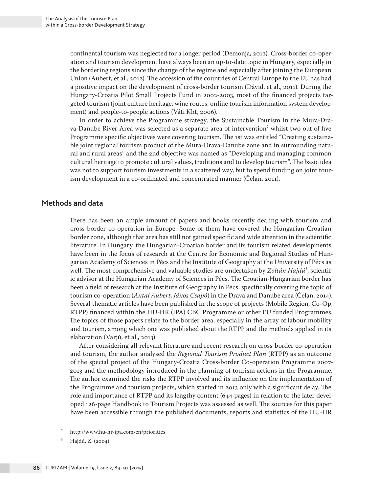continental tourism was neglected for a longer period (Demonja, 2012). Cross-border co-operation and tourism development have always been an up-to-date topic in Hungary, especially in the bordering regions since the change of the regime and especially after joining the European Union (Aubert, et al., 2012). The accession of the countries of Central Europe to the EU has had a positive impact on the development of cross-border tourism (Dávid, et al., 2011). During the Hungary-Croatia Pilot Small Projects Fund in 2002-2003, most of the financed projects targeted tourism (joint culture heritage, wine routes, online tourism information system development) and people-to-people actions (Váti Kht, 2006).

In order to achieve the Programme strategy, the Sustainable Tourism in the Mura-Drava-Danube River Area was selected as a separate area of intervention<sup>2</sup> whilst two out of five Programme specific objectives were covering tourism. The 1st was entitled "Creating sustainable joint regional tourism product of the Mura-Drava-Danube zone and in surrounding natural and rural areas" and the 2nd objective was named as "Developing and managing common cultural heritage to promote cultural values, traditions and to develop tourism". The basic idea was not to support tourism investments in a scattered way, but to spend funding on joint tourism development in a co-ordinated and concentrated manner (Čelan, 2011).

## **Methods and data**

There has been an ample amount of papers and books recently dealing with tourism and cross-border co-operation in Europe. Some of them have covered the Hungarian-Croatian border zone, although that area has still not gained specific and wide attention in the scientific literature. In Hungary, the Hungarian-Croatian border and its tourism related developments have been in the focus of research at the Centre for Economic and Regional Studies of Hungarian Academy of Sciences in Pécs and the Institute of Geography at the University of Pécs as well. The most comprehensive and valuable studies are undertaken by Zoltán Hajdú<sup>3</sup>, scientific advisor at the Hungarian Academy of Sciences in Pécs. The Croatian-Hungarian border has been a field of research at the Institute of Geography in Pécs, specifically covering the topic of tourism co-operation (*Antal Aubert, János Csapó*) in the Drava and Danube area (Čelan, 2014). Several thematic articles have been published in the scope of projects (Mobile Region, Co-Op, RTPP) financed within the HU-HR (IPA) CBC Programme or other EU funded Programmes. The topics of those papers relate to the border area, especially in the array of labour mobility and tourism, among which one was published about the RTPP and the methods applied in its elaboration (Varjú, et al., 2013).

After considering all relevant literature and recent research on cross-border co-operation and tourism, the author analysed the *Regional Tourism Product Plan* (RTPP) as an outcome of the special project of the Hungary-Croatia Cross-border Co-operation Programme 2007- 2013 and the methodology introduced in the planning of tourism actions in the Programme. The author examined the risks the RTPP involved and its influence on the implementation of the Programme and tourism projects, which started in 2013 only with a significant delay. The role and importance of RTPP and its lengthy content (644 pages) in relation to the later developed 126-page Handbook to Tourism Projects was assessed as well. The sources for this paper have been accessible through the published documents, reports and statistics of the HU-HR

<sup>2</sup> http://www.hu-hr-ipa.com/en/priorities

Hajdú, Z. (2004)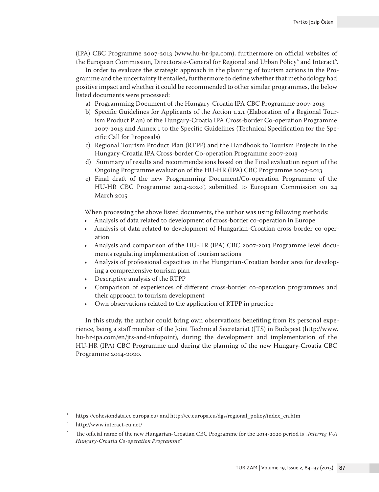(IPA) CBC Programme 2007-2013 (www.hu-hr-ipa.com), furthermore on official websites of the European Commission, Directorate-General for Regional and Urban Policy<sup>4</sup> and Interact<sup>5</sup>.

In order to evaluate the strategic approach in the planning of tourism actions in the Programme and the uncertainty it entailed, furthermore to define whether that methodology had positive impact and whether it could be recommended to other similar programmes, the below listed documents were processed:

- a) Programming Document of the Hungary-Croatia IPA CBC Programme 2007-2013
- b) Specific Guidelines for Applicants of the Action 1.2.1 (Elaboration of a Regional Tourism Product Plan) of the Hungary-Croatia IPA Cross-border Co-operation Programme 2007-2013 and Annex 1 to the Specific Guidelines (Technical Specification for the Specific Call for Proposals)
- c) Regional Tourism Product Plan (RTPP) and the Handbook to Tourism Projects in the Hungary-Croatia IPA Cross-border Co-operation Programme 2007-2013
- d) Summary of results and recommendations based on the Final evaluation report of the Ongoing Programme evaluation of the HU-HR (IPA) CBC Programme 2007-2013
- e) Final draft of the new Programming Document/Co-operation Programme of the HU-HR CBC Programme 2014-2020<sup>6</sup>, submitted to European Commission on 24 March 2015

When processing the above listed documents, the author was using following methods:

- Analysis of data related to development of cross-border co-operation in Europe
- Analysis of data related to development of Hungarian-Croatian cross-border co-operation
- Analysis and comparison of the HU-HR (IPA) CBC 2007-2013 Programme level documents regulating implementation of tourism actions
- Analysis of professional capacities in the Hungarian-Croatian border area for developing a comprehensive tourism plan
- Descriptive analysis of the RTPP
- Comparison of experiences of different cross-border co-operation programmes and their approach to tourism development
- Own observations related to the application of RTPP in practice

In this study, the author could bring own observations benefiting from its personal experience, being a staff member of the Joint Technical Secretariat (JTS) in Budapest (http://www. hu-hr-ipa.com/en/jts-and-infopoint), during the development and implementation of the HU-HR (IPA) CBC Programme and during the planning of the new Hungary-Croatia CBC Programme 2014-2020.

<sup>4</sup> https://cohesiondata.ec.europa.eu/ and http://ec.europa.eu/dgs/regional\_policy/index\_en.htm

<sup>5</sup> http://www.interact-eu.net/

The official name of the new Hungarian-Croatian CBC Programme for the 2014-2020 period is "Interreg V-A *Hungary-Croatia Co-operation Programme*"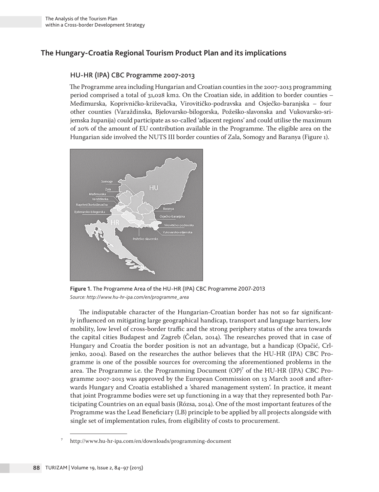## **The Hungary-Croatia Regional Tourism Product Plan and its implications**

## HU-HR (IPA) CBC Programme 2007-2013

The Programme area including Hungarian and Croatian counties in the 2007-2013 programming period comprised a total of 31,028 km2. On the Croatian side, in addition to border counties – Međimurska, Koprivničko-križevačka, Virovitičko-podravska and Osječko-baranjska – four other counties (Varaždinska, Bjelovarsko-bilogorska, Požeško-slavonska and Vukovarsko-srijemska županija) could participate as so-called 'adjacent regions' and could utilise the maximum of 20% of the amount of EU contribution available in the Programme. The eligible area on the Hungarian side involved the NUTS III border counties of Zala, Somogy and Baranya (Figure 1).



**Figure 1.** The Programme Area of the HU-HR (IPA) CBC Programme 2007-2013 *Source: http://www.hu-hr-ipa.com/en/programme\_area*

The indisputable character of the Hungarian-Croatian border has not so far significantly influenced on mitigating large geographical handicap, transport and language barriers, low mobility, low level of cross-border traffic and the strong periphery status of the area towards the capital cities Budapest and Zagreb (Čelan, 2014). The researches proved that in case of Hungary and Croatia the border position is not an advantage, but a handicap (Opačić, Crljenko, 2004). Based on the researches the author believes that the HU-HR (IPA) CBC Programme is one of the possible sources for overcoming the aforementioned problems in the area. The Programme i.e. the Programming Document  $(OP)^7$  of the HU-HR (IPA) CBC Programme 2007-2013 was approved by the European Commission on 13 March 2008 and afterwards Hungary and Croatia established a 'shared management system'. In practice, it meant that joint Programme bodies were set up functioning in a way that they represented both Participating Countries on an equal basis (Rózsa, 2014). One of the most important features of the Programme was the Lead Beneficiary (LB) principle to be applied by all projects alongside with single set of implementation rules, from eligibility of costs to procurement.

<sup>7</sup> http://www.hu-hr-ipa.com/en/downloads/programming-document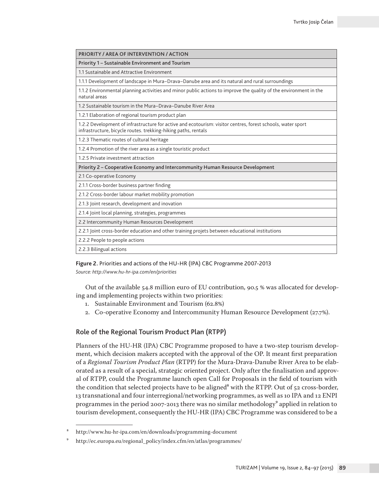| PRIORITY / AREA OF INTERVENTION / ACTION                                                                                                                                      |
|-------------------------------------------------------------------------------------------------------------------------------------------------------------------------------|
| Priority 1 – Sustainable Environment and Tourism                                                                                                                              |
| 1.1 Sustainable and Attractive Environment                                                                                                                                    |
| 1.1.1 Development of landscape in Mura-Drava-Danube area and its natural and rural surroundings                                                                               |
| 1.1.2 Environmental planning activities and minor public actions to improve the quality of the environment in the<br>natural areas                                            |
| 1.2 Sustainable tourism in the Mura-Drava-Danube River Area                                                                                                                   |
| 1.2.1 Elaboration of regional tourism product plan                                                                                                                            |
| 1.2.2 Development of infrastructure for active and ecotourism: visitor centres, forest schools, water sport<br>infrastructure, bicycle routes. trekking-hiking paths, rentals |
| 1.2.3 Thematic routes of cultural heritage                                                                                                                                    |
| 1.2.4 Promotion of the river area as a single touristic product                                                                                                               |
| 1.2.5 Private investment attraction                                                                                                                                           |
| Priority 2 – Cooperative Economy and Intercommunity Human Resource Development                                                                                                |
| 2.1 Co-operative Economy                                                                                                                                                      |
| 2.1.1 Cross-border business partner finding                                                                                                                                   |
| 2.1.2 Cross-border labour market mobility promotion                                                                                                                           |
| 2.1.3 Joint research, development and inovation                                                                                                                               |
| 2.1.4 Joint local planning, strategies, programmes                                                                                                                            |
| 2.2 Intercommunity Human Resources Development                                                                                                                                |
| 2.2.1 Joint cross-border education and other training projets between educational institutions                                                                                |
| 2.2.2 People to people actions                                                                                                                                                |
| 2.2.3 Bilingual actions                                                                                                                                                       |

#### **Figure 2.** Priorities and actions of the HU-HR (IPA) CBC Programme 2007-2013

*Source: http://www.hu-hr-ipa.com/en/priorities*

Out of the available 54.8 million euro of EU contribution, 90.5 % was allocated for developing and implementing projects within two priorities:

- 1. Sustainable Environment and Tourism (62.8%)
- 2. Co-operative Economy and Intercommunity Human Resource Development (27.7%).

#### Role of the Regional Tourism Product Plan (RTPP)

Planners of the HU-HR (IPA) CBC Programme proposed to have a two-step tourism development, which decision makers accepted with the approval of the OP. It meant first preparation of a *Regional Tourism Product Plan* (RTPP) for the Mura-Drava-Danube River Area to be elaborated as a result of a special, strategic oriented project. Only after the finalisation and approval of RTPP, could the Programme launch open Call for Proposals in the field of tourism with the condition that selected projects have to be aligned<sup>8</sup> with the RTPP. Out of  $52$  cross-border, 13 transnational and four interregional/networking programmes, as well as 10 IPA and 12 ENPI programmes in the period 2007-2013 there was no similar methodology<sup>9</sup> applied in relation to tourism development, consequently the HU-HR (IPA) CBC Programme was considered to be a

<sup>8</sup> http://www.hu-hr-ipa.com/en/downloads/programming-document

<sup>9</sup> http://ec.europa.eu/regional\_policy/index.cfm/en/atlas/programmes/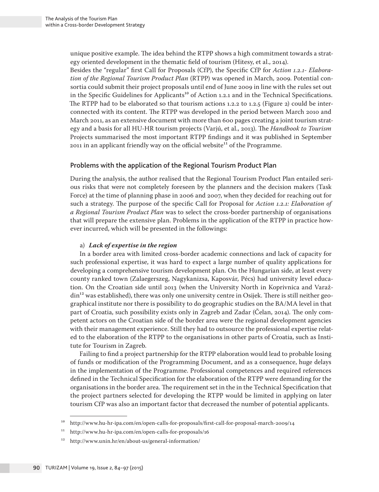unique positive example. The idea behind the RTPP shows a high commitment towards a strategy oriented development in the thematic field of tourism (Hitesy, et al., 2014).

Besides the "regular" first Call for Proposals (CfP), the Specific CfP for *Action 1.2.1- Elaboration of the Regional Tourism Product Plan* (RTPP) was opened in March, 2009. Potential consortia could submit their project proposals until end of June 2009 in line with the rules set out in the Specific Guidelines for Applicants<sup>10</sup> of Action 1.2.1 and in the Technical Specifications. The RTPP had to be elaborated so that tourism actions 1.2.2 to 1.2.5 (Figure 2) could be interconnected with its content. The RTPP was developed in the period between March 2010 and March 2011, as an extensive document with more than 600 pages creating a joint tourism strategy and a basis for all HU-HR tourism projects (Varjú, et al., 2013). The *Handbook to Tourism*  Projects summarised the most important RTPP findings and it was published in September 2011 in an applicant friendly way on the official website<sup>11</sup> of the Programme.

## Problems with the application of the Regional Tourism Product Plan

During the analysis, the author realised that the Regional Tourism Product Plan entailed serious risks that were not completely foreseen by the planners and the decision makers (Task Force) at the time of planning phase in 2006 and 2007, when they decided for reaching out for such a strategy. The purpose of the specific Call for Proposal for *Action 1.2.1: Elaboration of a Regional Tourism Product Plan* was to select the cross-border partnership of organisations that will prepare the extensive plan. Problems in the application of the RTPP in practice however incurred, which will be presented in the followings:

#### a) *Lack of expertise in the region*

In a border area with limited cross-border academic connections and lack of capacity for such professional expertise, it was hard to expect a large number of quality applications for developing a comprehensive tourism development plan. On the Hungarian side, at least every county ranked town (Zalaegerszeg, Nagykanizsa, Kaposvár, Pécs) had university level education. On the Croatian side until 2013 (when the University North in Koprivnica and Varaždin<sup>12</sup> was established), there was only one university centre in Osijek. There is still neither geographical institute nor there is possibility to do geographic studies on the BA/MA level in that part of Croatia, such possibility exists only in Zagreb and Zadar (Čelan, 2014). The only competent actors on the Croatian side of the border area were the regional development agencies with their management experience. Still they had to outsource the professional expertise related to the elaboration of the RTPP to the organisations in other parts of Croatia, such as Institute for Tourism in Zagreb.

Failing to find a project partnership for the RTPP elaboration would lead to probable losing of funds or modification of the Programming Document, and as a consequence, huge delays in the implementation of the Programme. Professional competences and required references defined in the Technical Specification for the elaboration of the RTPP were demanding for the organisations in the border area. The requirement set in the in the Technical Specification that the project partners selected for developing the RTPP would be limited in applying on later tourism CfP was also an important factor that decreased the number of potential applicants.

<sup>10</sup> http://www.hu-hr-ipa.com/en/open-calls-for-proposals/first-call-for-proposal-march-2009/14

<sup>11</sup> http://www.hu-hr-ipa.com/en/open-calls-for-proposals/16

<sup>12</sup> http://www.unin.hr/en/about-us/general-information/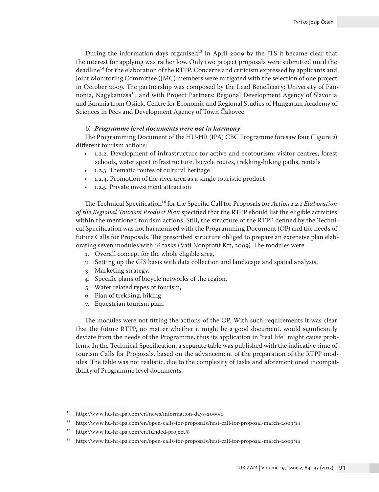During the information days organised<sup>13</sup> in April 2009 by the JTS it became clear that the interest for applying was rather low. Only two project proposals were submitted until the deadline14 for the elaboration of the RTPP. Concerns and criticism expressed by applicants and Joint Monitoring Committee (JMC) members were mitigated with the selection of one project in October 2009. The partnership was composed by the Lead Beneficiary: University of Pannonia, Nagykanizsa<sup>15</sup>, and with Project Partners: Regional Development Agency of Slavonia and Baranja from Osijek, Centre for Economic and Regional Studies of Hungarian Academy of Sciences in Pécs and Development Agency of Town Čakovec.

#### b) *Programme level documents were not in harmony*

The Programming Document of the HU-HR (IPA) CBC Programme foresaw four (Figure 2) different tourism actions:

- 1.2.2. Development of infrastructure for active and ecotourism: visitor centres, forest schools, water sport infrastructure, bicycle routes, trekking-hiking paths, rentals
- 1.2.3. Thematic routes of cultural heritage
- 1.2.4. Promotion of the river area as a single touristic product
- 1.2.5. Private investment attraction

The Technical Specification16 for the Specific Call for Proposals for *Action 1.2.1 Elaboration of the Regional Tourism Product Plan* specified that the RTPP should list the eligible activities within the mentioned tourism actions. Still, the structure of the RTPP defined by the Technical Specification was not harmonised with the Programming Document (OP) and the needs of future Calls for Proposals. The prescribed structure obliged to prepare an extensive plan elaborating seven modules with 16 tasks (Váti Nonprofit Kft, 2009). The modules were:

- 1. Overall concept for the whole eligible area,
- 2. Setting up the GIS basis with data collection and landscape and spatial analysis,
- 3. Marketing strategy,
- 4. Specific plans of bicycle networks of the region,
- 5. Water related types of tourism,
- 6. Plan of trekking, hiking,
- 7. Equestrian tourism plan.

The modules were not fitting the actions of the OP. With such requirements it was clear that the future RTPP, no matter whether it might be a good document, would significantly deviate from the needs of the Programme, thus its application in "real life" might cause problems. In the Technical Specification, a separate table was published with the indicative time of tourism Calls for Proposals, based on the advancement of the preparation of the RTPP modules. The table was not realistic, due to the complexity of tasks and aforementioned incompatibility of Programme level documents.

<sup>13</sup> http://www.hu-hr-ipa.com/en/news/information-days-2009/1

<sup>14</sup> http://www.hu-hr-ipa.com/en/open-calls-for-proposals/first-call-for-proposal-march-2009/14

<sup>15</sup> http://www.hu-hr-ipa.com/en/funded-project/8

<sup>16</sup> http://www.hu-hr-ipa.com/en/open-calls-for-proposals/first-call-for-proposal-march-2009/14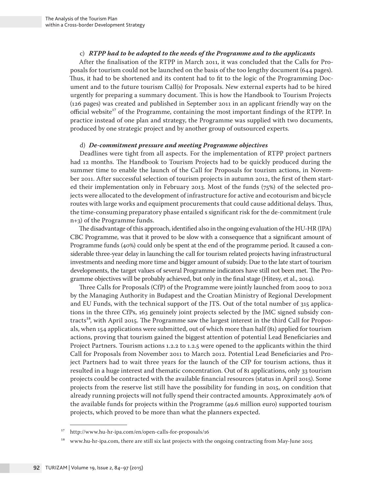#### c) *RTPP had to be adopted to the needs of the Programme and to the applicants*

After the finalisation of the RTPP in March 2011, it was concluded that the Calls for Proposals for tourism could not be launched on the basis of the too lengthy document (644 pages). Thus, it had to be shortened and its content had to fit to the logic of the Programming Document and to the future tourism Call(s) for Proposals. New external experts had to be hired urgently for preparing a summary document. This is how the Handbook to Tourism Projects (126 pages) was created and published in September 2011 in an applicant friendly way on the official website<sup>17</sup> of the Programme, containing the most important findings of the RTPP. In practice instead of one plan and strategy, the Programme was supplied with two documents, produced by one strategic project and by another group of outsourced experts.

#### d) *De-commitment pressure and meeting Programme objectives*

Deadlines were tight from all aspects. For the implementation of RTPP project partners had 12 months. The Handbook to Tourism Projects had to be quickly produced during the summer time to enable the launch of the Call for Proposals for tourism actions, in November 2011. After successful selection of tourism projects in autumn 2012, the first of them started their implementation only in February 2013. Most of the funds (75%) of the selected projects were allocated to the development of infrastructure for active and ecotourism and bicycle routes with large works and equipment procurements that could cause additional delays. Thus, the time-consuming preparatory phase entailed s significant risk for the de-commitment (rule n+3) of the Programme funds.

The disadvantage of this approach, identified also in the ongoing evaluation of the HU-HR (IPA) CBC Programme, was that it proved to be slow with a consequence that a significant amount of Programme funds (40%) could only be spent at the end of the programme period. It caused a considerable three-year delay in launching the call for tourism related projects having infrastructural investments and needing more time and bigger amount of subsidy. Due to the late start of tourism developments, the target values of several Programme indicators have still not been met. The Programme objectives will be probably achieved, but only in the final stage (Hitesy, et al., 2014).

Three Calls for Proposals (CfP) of the Programme were jointly launched from 2009 to 2012 by the Managing Authority in Budapest and the Croatian Ministry of Regional Development and EU Funds, with the technical support of the JTS. Out of the total number of 315 applications in the three CfPs, 163 genuinely joint projects selected by the JMC signed subsidy contracts<sup>18</sup>, with April 2015. The Programme saw the largest interest in the third Call for Proposals, when 154 applications were submitted, out of which more than half (81) applied for tourism actions, proving that tourism gained the biggest attention of potential Lead Beneficiaries and Project Partners. Tourism actions 1.2.2 to 1.2.5 were opened to the applicants within the third Call for Proposals from November 2011 to March 2012. Potential Lead Beneficiaries and Project Partners had to wait three years for the launch of the CfP for tourism actions, thus it resulted in a huge interest and thematic concentration. Out of 81 applications, only 33 tourism projects could be contracted with the available financial resources (status in April 2015). Some projects from the reserve list still have the possibility for funding in 2015, on condition that already running projects will not fully spend their contracted amounts. Approximately 40% of the available funds for projects within the Programme (49.6 million euro) supported tourism projects, which proved to be more than what the planners expected.

<sup>17</sup> http://www.hu-hr-ipa.com/en/open-calls-for-proposals/16

<sup>&</sup>lt;sup>18</sup> www.hu-hr-ipa.com, there are still six last projects with the ongoing contracting from May-June 2015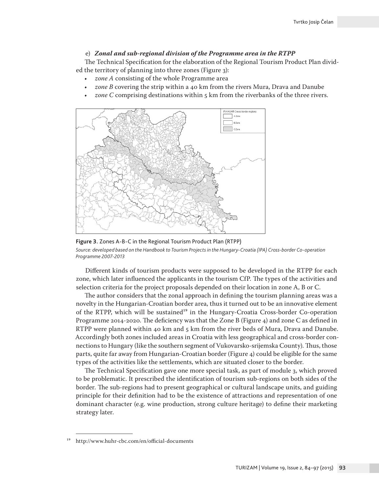#### e) *Zonal and sub-regional division of the Programme area in the RTPP*

The Technical Specification for the elaboration of the Regional Tourism Product Plan divided the territory of planning into three zones (Figure 3):

- *zone A* consisting of the whole Programme area
- *zone B* covering the strip within a 40 km from the rivers Mura, Drava and Danube
- *zone C* comprising destinations within 5 km from the riverbanks of the three rivers.



**Figure 3.** Zones A-B-C in the Regional Tourism Product Plan (RTPP) *Source: developed based on the Handbook to Tourism Projects in the Hungary-Croatia (IPA) Cross-border Co-operation Programme 2007-2013*

Different kinds of tourism products were supposed to be developed in the RTPP for each zone, which later influenced the applicants in the tourism CfP. The types of the activities and selection criteria for the project proposals depended on their location in zone A, B or C.

The author considers that the zonal approach in defining the tourism planning areas was a novelty in the Hungarian-Croatian border area, thus it turned out to be an innovative element of the RTPP, which will be sustained<sup>19</sup> in the Hungary-Croatia Cross-border Co-operation Programme 2014-2020. The deficiency was that the Zone B (Figure 4) and zone C as defined in RTPP were planned within 40 km and 5 km from the river beds of Mura, Drava and Danube. Accordingly both zones included areas in Croatia with less geographical and cross-border connections to Hungary (like the southern segment of Vukovarsko-srijemska County). Thus, those parts, quite far away from Hungarian-Croatian border (Figure 4) could be eligible for the same types of the activities like the settlements, which are situated closer to the border.

The Technical Specification gave one more special task, as part of module 3, which proved to be problematic. It prescribed the identification of tourism sub-regions on both sides of the border. The sub-regions had to present geographical or cultural landscape units, and guiding principle for their definition had to be the existence of attractions and representation of one dominant character (e.g. wine production, strong culture heritage) to define their marketing strategy later.

<sup>19</sup> http://www.huhr-cbc.com/en/official-documents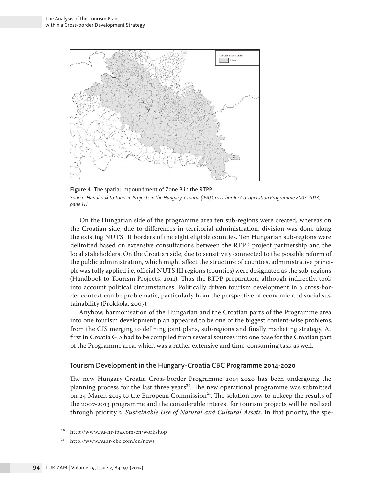

**Figure 4.** The spatial impoundment of Zone B in the RTPP *Source: Handbook to Tourism Projects in the Hungary-Croatia (IPA) Cross-border Co-operation Programme 2007-2013, page 111*

On the Hungarian side of the programme area ten sub-regions were created, whereas on the Croatian side, due to differences in territorial administration, division was done along the existing NUTS III borders of the eight eligible counties. Ten Hungarian sub-regions were delimited based on extensive consultations between the RTPP project partnership and the local stakeholders. On the Croatian side, due to sensitivity connected to the possible reform of the public administration, which might affect the structure of counties, administrative principle was fully applied i.e. official NUTS III regions (counties) were designated as the sub-regions (Handbook to Tourism Projects, 2011). Thus the RTPP preparation, although indirectly, took into account political circumstances. Politically driven tourism development in a cross-border context can be problematic, particularly from the perspective of economic and social sustainability (Prokkola, 2007).

Anyhow, harmonisation of the Hungarian and the Croatian parts of the Programme area into one tourism development plan appeared to be one of the biggest content-wise problems, from the GIS merging to defining joint plans, sub-regions and finally marketing strategy. At first in Croatia GIS had to be compiled from several sources into one base for the Croatian part of the Programme area, which was a rather extensive and time-consuming task as well.

#### Tourism Development in the Hungary-Croatia CBC Programme 2014-2020

The new Hungary-Croatia Cross-border Programme 2014-2020 has been undergoing the planning process for the last three years<sup>20</sup>. The new operational programme was submitted on 24 March 2015 to the European Commission<sup>21</sup>. The solution how to upkeep the results of the 2007-2013 programme and the considerable interest for tourism projects will be realised through priority 2: *Sustainable Use of Natural and Cultural Assets*. In that priority, the spe-

<sup>20</sup> http://www.hu-hr-ipa.com/en/workshop

<sup>21</sup> http://www.huhr-cbc.com/en/news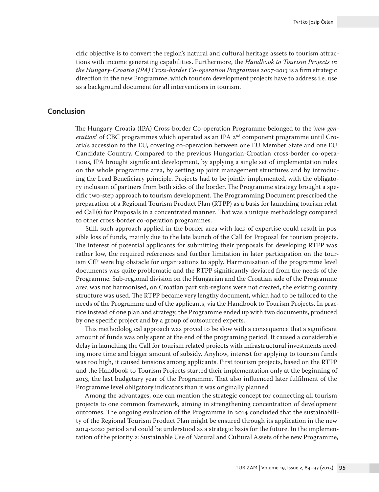cific objective is to convert the region's natural and cultural heritage assets to tourism attractions with income generating capabilities. Furthermore, the *Handbook to Tourism Projects in the Hungary-Croatia (IPA) Cross-border Co-operation Programme 2007-2013* is a firm strategic direction in the new Programme, which tourism development projects have to address i.e. use as a background document for all interventions in tourism.

#### **Conclusion**

The Hungary-Croatia (IPA) Cross-border Co-operation Programme belonged to the '*new generation*' of CBC programmes which operated as an IPA 2<sup>nd</sup> component programme until Croatia's accession to the EU, covering co-operation between one EU Member State and one EU Candidate Country. Compared to the previous Hungarian-Croatian cross-border co-operations, IPA brought significant development, by applying a single set of implementation rules on the whole programme area, by setting up joint management structures and by introducing the Lead Beneficiary principle. Projects had to be jointly implemented, with the obligatory inclusion of partners from both sides of the border. The Programme strategy brought a specific two-step approach to tourism development. The Programming Document prescribed the preparation of a Regional Tourism Product Plan (RTPP) as a basis for launching tourism related Call(s) for Proposals in a concentrated manner. That was a unique methodology compared to other cross-border co-operation programmes.

Still, such approach applied in the border area with lack of expertise could result in possible loss of funds, mainly due to the late launch of the Call for Proposal for tourism projects. The interest of potential applicants for submitting their proposals for developing RTPP was rather low, the required references and further limitation in later participation on the tourism CfP were big obstacle for organisations to apply. Harmonisation of the programme level documents was quite problematic and the RTPP significantly deviated from the needs of the Programme. Sub-regional division on the Hungarian and the Croatian side of the Programme area was not harmonised, on Croatian part sub-regions were not created, the existing county structure was used. The RTPP became very lengthy document, which had to be tailored to the needs of the Programme and of the applicants, via the Handbook to Tourism Projects. In practice instead of one plan and strategy, the Programme ended up with two documents, produced by one specific project and by a group of outsourced experts.

This methodological approach was proved to be slow with a consequence that a significant amount of funds was only spent at the end of the programing period. It caused a considerable delay in launching the Call for tourism related projects with infrastructural investments needing more time and bigger amount of subsidy. Anyhow, interest for applying to tourism funds was too high, it caused tensions among applicants. First tourism projects, based on the RTPP and the Handbook to Tourism Projects started their implementation only at the beginning of 2013, the last budgetary year of the Programme. That also influenced later fulfilment of the Programme level obligatory indicators than it was originally planned.

Among the advantages, one can mention the strategic concept for connecting all tourism projects to one common framework, aiming in strengthening concentration of development outcomes. The ongoing evaluation of the Programme in 2014 concluded that the sustainability of the Regional Tourism Product Plan might be ensured through its application in the new 2014-2020 period and could be understood as a strategic basis for the future. In the implementation of the priority 2: Sustainable Use of Natural and Cultural Assets of the new Programme,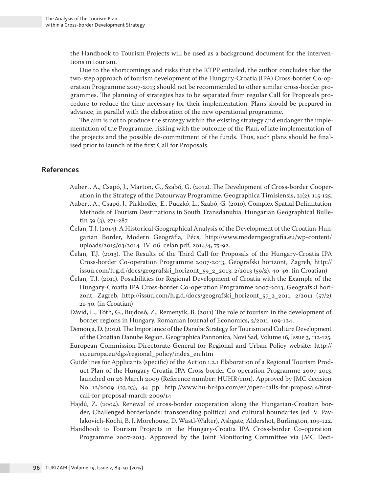the Handbook to Tourism Projects will be used as a background document for the interventions in tourism.

Due to the shortcomings and risks that the RTPP entailed, the author concludes that the two-step approach of tourism development of the Hungary-Croatia (IPA) Cross-border Co-operation Programme 2007-2013 should not be recommended to other similar cross-border programmes. The planning of strategies has to be separated from regular Call for Proposals procedure to reduce the time necessary for their implementation. Plans should be prepared in advance, in parallel with the elaboration of the new operational programme.

The aim is not to produce the strategy within the existing strategy and endanger the implementation of the Programme, risking with the outcome of the Plan, of late implementation of the projects and the possible de-commitment of the funds. Thus, such plans should be finalised prior to launch of the first Call for Proposals.

## **References**

- Aubert, A., Csapó, J., Marton, G., Szabó, G. (2012). The Development of Cross-border Cooperation in the Strategy of the Datourway Programme. Geographica Timisiensis, 21(2), 115-125.
- Aubert, A., Csapó, J., Pirkhoffer, E., Puczkó, L., Szabó, G. (2010). Complex Spatial Delimitation Methods of Tourism Destinations in South Transdanubia. Hungarian Geographical Bulletin 59 (3), 271-287.
- Čelan, T.J. (2014). A Historical Geographical Analysis of the Development of the Croatian-Hungarian Border, Modern Geográfia, Pécs, http://www.moderngeografia.eu/wp-content/ uploads/2015/03/2014\_IV\_06\_celan.pdf, 2014/4, 75-92.
- Čelan, T.J. (2013). The Results of the Third Call for Proposals of the Hungary-Croatia IPA Cross-border Co-operation Programme 2007-2013, Geografski horizont, Zagreb, http:// issuu.com/h.g.d./docs/geografski\_horizont\_59\_2\_2013, 2/2013 (59/2), 40-46. (in Croatian)
- Čelan, T.J. (2011). Possibilities for Regional Development of Croatia with the Example of the Hungary-Croatia IPA Cross-border Co-operation Programme 2007-2013, Geografski horizont, Zagreb, http://issuu.com/h.g.d./docs/geografski\_horizont\_57\_2\_2011, 2/2011 (57/2), 21-40. (in Croatian)
- Dávid, L., Tóth, G., Bujdosó, Z., Remenyik, B. (2011) The role of tourism in the development of border regions in Hungary. Romanian Journal of Economics, 2/2011, 109-124.
- Demonja, D. (2012). The Importance of the Danube Strategy for Tourism and Culture Development of the Croatian Danube Region. Geographica Pannonica, Novi Sad, Volume 16, Issue 3, 112-125.
- European Commission-Directorate-General for Regional and Urban Policy website: http:// ec.europa.eu/dgs/regional\_policy/index\_en.htm
- Guidelines for Applicants (specific) of the Action 1.2.1 Elaboration of a Regional Tourism Product Plan of the Hungary-Croatia IPA Cross-border Co-operation Programme 2007-2013, launched on 26 March 2009 (Reference number: HUHR/1101). Approved by JMC decision No 12/2009 (23.03), 44 pp. http://www.hu-hr-ipa.com/en/open-calls-for-proposals/firstcall-for-proposal-march-2009/14
- Hajdú, Z. (2004). Renewal of cross-border cooperation along the Hungarian-Croatian border, Challenged borderlands: transcending political and cultural boundaries (ed. V. Pavlakovich-Kochi, B. J. Morehouse, D. Wastl-Walter), Ashgate, Aldershot, Burlington, 109-122.
- Handbook to Tourism Projects in the Hungary-Croatia IPA Cross-border Co-operation Programme 2007-2013. Approved by the Joint Monitoring Committee via JMC Deci-